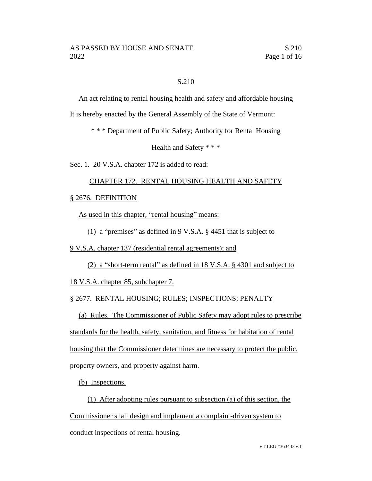## S.210

An act relating to rental housing health and safety and affordable housing

It is hereby enacted by the General Assembly of the State of Vermont:

\* \* \* Department of Public Safety; Authority for Rental Housing

Health and Safety \* \* \*

Sec. 1. 20 V.S.A. chapter 172 is added to read:

### CHAPTER 172. RENTAL HOUSING HEALTH AND SAFETY

§ 2676. DEFINITION

As used in this chapter, "rental housing" means:

(1) a "premises" as defined in 9 V.S.A. § 4451 that is subject to

9 V.S.A. chapter 137 (residential rental agreements); and

(2) a "short-term rental" as defined in 18 V.S.A. § 4301 and subject to

18 V.S.A. chapter 85, subchapter 7.

§ 2677. RENTAL HOUSING; RULES; INSPECTIONS; PENALTY

(a) Rules. The Commissioner of Public Safety may adopt rules to prescribe standards for the health, safety, sanitation, and fitness for habitation of rental housing that the Commissioner determines are necessary to protect the public, property owners, and property against harm.

(b) Inspections.

(1) After adopting rules pursuant to subsection (a) of this section, the Commissioner shall design and implement a complaint-driven system to conduct inspections of rental housing.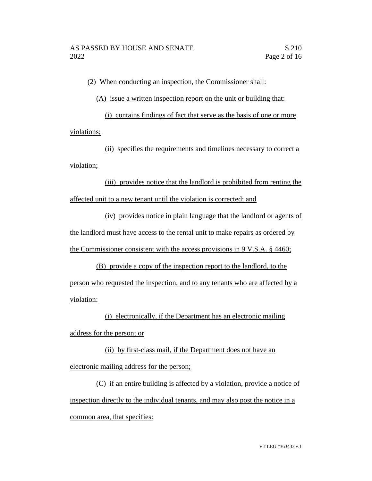(2) When conducting an inspection, the Commissioner shall:

(A) issue a written inspection report on the unit or building that:

(i) contains findings of fact that serve as the basis of one or more violations;

(ii) specifies the requirements and timelines necessary to correct a violation;

(iii) provides notice that the landlord is prohibited from renting the affected unit to a new tenant until the violation is corrected; and

(iv) provides notice in plain language that the landlord or agents of the landlord must have access to the rental unit to make repairs as ordered by the Commissioner consistent with the access provisions in 9 V.S.A. § 4460;

(B) provide a copy of the inspection report to the landlord, to the person who requested the inspection, and to any tenants who are affected by a violation:

(i) electronically, if the Department has an electronic mailing address for the person; or

(ii) by first-class mail, if the Department does not have an electronic mailing address for the person;

(C) if an entire building is affected by a violation, provide a notice of inspection directly to the individual tenants, and may also post the notice in a common area, that specifies: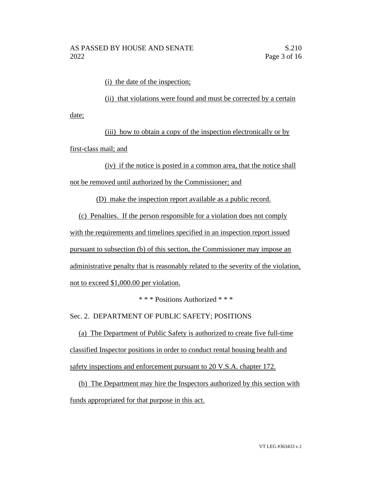(i) the date of the inspection;

(ii) that violations were found and must be corrected by a certain date;

(iii) how to obtain a copy of the inspection electronically or by first-class mail; and

(iv) if the notice is posted in a common area, that the notice shall not be removed until authorized by the Commissioner; and

(D) make the inspection report available as a public record.

(c) Penalties. If the person responsible for a violation does not comply

with the requirements and timelines specified in an inspection report issued

pursuant to subsection (b) of this section, the Commissioner may impose an

administrative penalty that is reasonably related to the severity of the violation,

not to exceed \$1,000.00 per violation.

\* \* \* Positions Authorized \* \* \*

Sec. 2. DEPARTMENT OF PUBLIC SAFETY; POSITIONS

(a) The Department of Public Safety is authorized to create five full-time classified Inspector positions in order to conduct rental housing health and safety inspections and enforcement pursuant to 20 V.S.A. chapter 172.

(b) The Department may hire the Inspectors authorized by this section with funds appropriated for that purpose in this act.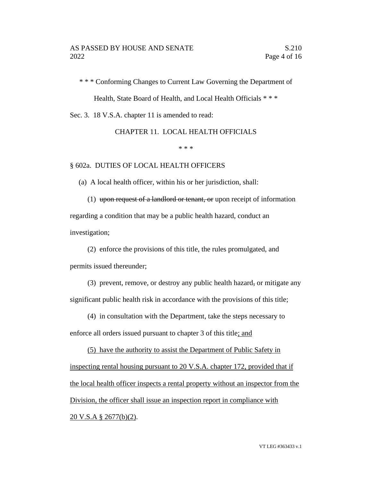\* \* \* Conforming Changes to Current Law Governing the Department of

Health, State Board of Health, and Local Health Officials \* \* \*

Sec. 3. 18 V.S.A. chapter 11 is amended to read:

CHAPTER 11. LOCAL HEALTH OFFICIALS

\* \* \*

#### § 602a. DUTIES OF LOCAL HEALTH OFFICERS

(a) A local health officer, within his or her jurisdiction, shall:

(1) upon request of a landlord or tenant, or upon receipt of information regarding a condition that may be a public health hazard, conduct an investigation;

(2) enforce the provisions of this title, the rules promulgated, and permits issued thereunder;

(3) prevent, remove, or destroy any public health hazard, or mitigate any significant public health risk in accordance with the provisions of this title;

(4) in consultation with the Department, take the steps necessary to

enforce all orders issued pursuant to chapter 3 of this title; and

(5) have the authority to assist the Department of Public Safety in inspecting rental housing pursuant to 20 V.S.A. chapter 172, provided that if the local health officer inspects a rental property without an inspector from the Division, the officer shall issue an inspection report in compliance with 20 V.S.A § 2677(b)(2).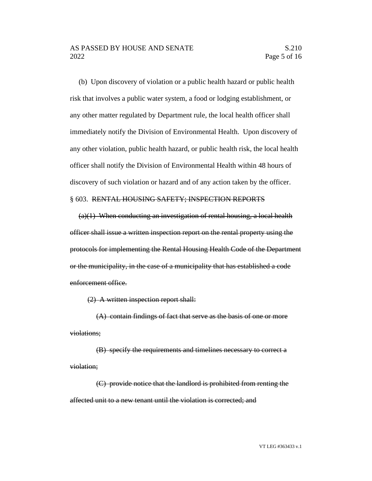(b) Upon discovery of violation or a public health hazard or public health risk that involves a public water system, a food or lodging establishment, or any other matter regulated by Department rule, the local health officer shall immediately notify the Division of Environmental Health. Upon discovery of any other violation, public health hazard, or public health risk, the local health officer shall notify the Division of Environmental Health within 48 hours of discovery of such violation or hazard and of any action taken by the officer.

#### § 603. RENTAL HOUSING SAFETY; INSPECTION REPORTS

 $(a)(1)$  When conducting an investigation of rental housing, a local health officer shall issue a written inspection report on the rental property using the protocols for implementing the Rental Housing Health Code of the Department or the municipality, in the case of a municipality that has established a code enforcement office.

(2) A written inspection report shall:

(A) contain findings of fact that serve as the basis of one or more violations;

(B) specify the requirements and timelines necessary to correct a violation;

(C) provide notice that the landlord is prohibited from renting the affected unit to a new tenant until the violation is corrected; and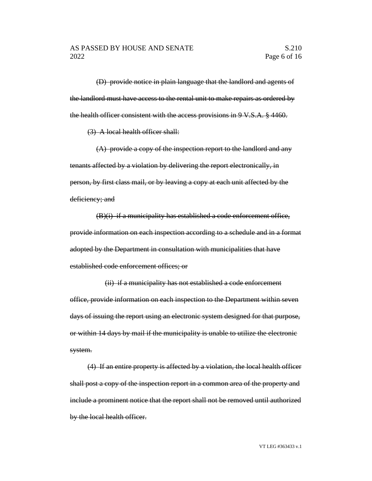(D) provide notice in plain language that the landlord and agents of the landlord must have access to the rental unit to make repairs as ordered by the health officer consistent with the access provisions in 9 V.S.A. § 4460.

(3) A local health officer shall:

(A) provide a copy of the inspection report to the landlord and any tenants affected by a violation by delivering the report electronically, in person, by first class mail, or by leaving a copy at each unit affected by the deficiency; and

(B)(i) if a municipality has established a code enforcement office, provide information on each inspection according to a schedule and in a format adopted by the Department in consultation with municipalities that have established code enforcement offices; or

(ii) if a municipality has not established a code enforcement office, provide information on each inspection to the Department within seven days of issuing the report using an electronic system designed for that purpose, or within 14 days by mail if the municipality is unable to utilize the electronic system.

(4) If an entire property is affected by a violation, the local health officer shall post a copy of the inspection report in a common area of the property and include a prominent notice that the report shall not be removed until authorized by the local health officer.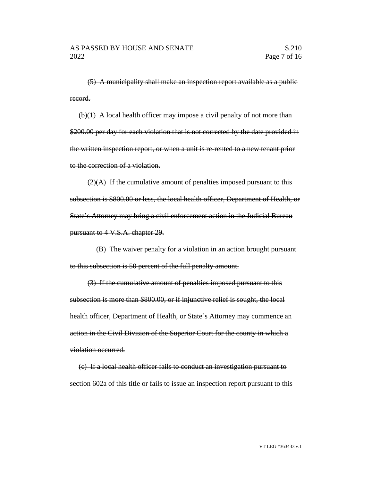(5) A municipality shall make an inspection report available as a public record.

(b)(1) A local health officer may impose a civil penalty of not more than \$200.00 per day for each violation that is not corrected by the date provided in the written inspection report, or when a unit is re-rented to a new tenant prior to the correction of a violation.

 $(2)(A)$  If the cumulative amount of penalties imposed pursuant to this subsection is \$800.00 or less, the local health officer, Department of Health, or State's Attorney may bring a civil enforcement action in the Judicial Bureau pursuant to 4 V.S.A. chapter 29.

(B) The waiver penalty for a violation in an action brought pursuant to this subsection is 50 percent of the full penalty amount.

(3) If the cumulative amount of penalties imposed pursuant to this subsection is more than \$800.00, or if injunctive relief is sought, the local health officer, Department of Health, or State's Attorney may commence an action in the Civil Division of the Superior Court for the county in which a violation occurred.

(c) If a local health officer fails to conduct an investigation pursuant to section 602a of this title or fails to issue an inspection report pursuant to this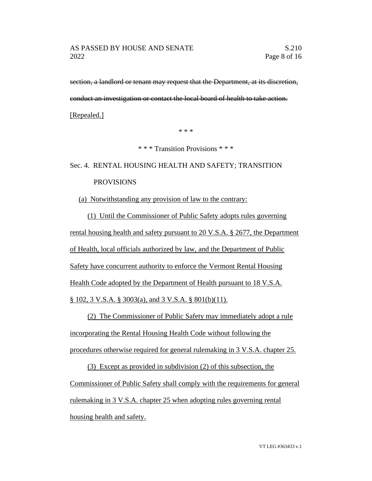section, a landlord or tenant may request that the Department, at its discretion, conduct an investigation or contact the local board of health to take action.

[Repealed.]

\* \* \*

\* \* \* Transition Provisions \* \* \*

# Sec. 4. RENTAL HOUSING HEALTH AND SAFETY; TRANSITION PROVISIONS

(a) Notwithstanding any provision of law to the contrary:

(1) Until the Commissioner of Public Safety adopts rules governing rental housing health and safety pursuant to 20 V.S.A. § 2677, the Department of Health, local officials authorized by law, and the Department of Public Safety have concurrent authority to enforce the Vermont Rental Housing Health Code adopted by the Department of Health pursuant to 18 V.S.A. § 102, 3 V.S.A. § 3003(a), and 3 V.S.A. § 801(b)(11).

(2) The Commissioner of Public Safety may immediately adopt a rule incorporating the Rental Housing Health Code without following the procedures otherwise required for general rulemaking in 3 V.S.A. chapter 25.

(3) Except as provided in subdivision (2) of this subsection, the Commissioner of Public Safety shall comply with the requirements for general rulemaking in 3 V.S.A. chapter 25 when adopting rules governing rental housing health and safety.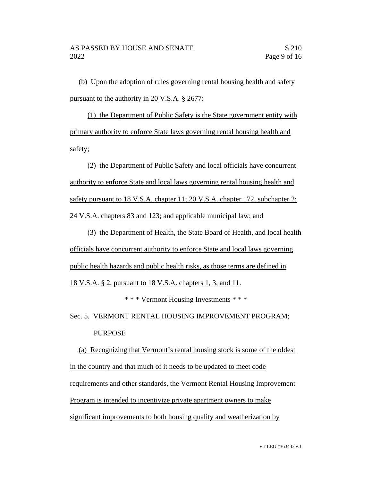(b) Upon the adoption of rules governing rental housing health and safety pursuant to the authority in 20 V.S.A. § 2677:

(1) the Department of Public Safety is the State government entity with primary authority to enforce State laws governing rental housing health and safety;

(2) the Department of Public Safety and local officials have concurrent authority to enforce State and local laws governing rental housing health and safety pursuant to 18 V.S.A. chapter 11; 20 V.S.A. chapter 172, subchapter 2; 24 V.S.A. chapters 83 and 123; and applicable municipal law; and

(3) the Department of Health, the State Board of Health, and local health officials have concurrent authority to enforce State and local laws governing public health hazards and public health risks, as those terms are defined in

18 V.S.A. § 2, pursuant to 18 V.S.A. chapters 1, 3, and 11.

\* \* \* Vermont Housing Investments \* \* \*

Sec. 5. VERMONT RENTAL HOUSING IMPROVEMENT PROGRAM; PURPOSE

(a) Recognizing that Vermont's rental housing stock is some of the oldest in the country and that much of it needs to be updated to meet code requirements and other standards, the Vermont Rental Housing Improvement Program is intended to incentivize private apartment owners to make significant improvements to both housing quality and weatherization by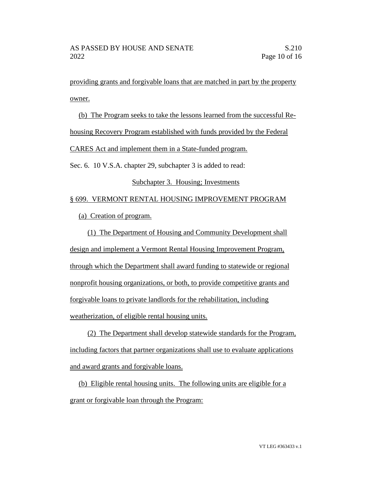providing grants and forgivable loans that are matched in part by the property owner.

(b) The Program seeks to take the lessons learned from the successful Rehousing Recovery Program established with funds provided by the Federal CARES Act and implement them in a State-funded program. Sec. 6. 10 V.S.A. chapter 29, subchapter 3 is added to read: Subchapter 3. Housing; Investments

## § 699. VERMONT RENTAL HOUSING IMPROVEMENT PROGRAM

(a) Creation of program.

(1) The Department of Housing and Community Development shall design and implement a Vermont Rental Housing Improvement Program, through which the Department shall award funding to statewide or regional nonprofit housing organizations, or both, to provide competitive grants and forgivable loans to private landlords for the rehabilitation, including weatherization, of eligible rental housing units.

(2) The Department shall develop statewide standards for the Program, including factors that partner organizations shall use to evaluate applications and award grants and forgivable loans.

(b) Eligible rental housing units. The following units are eligible for a grant or forgivable loan through the Program: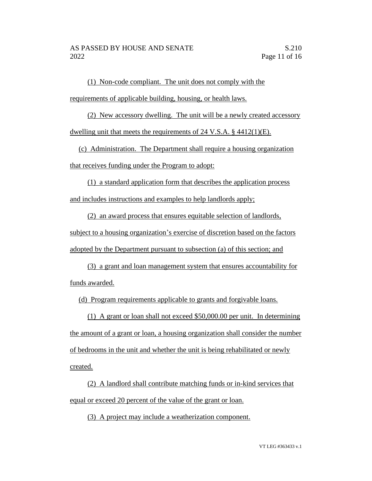(1) Non-code compliant. The unit does not comply with the requirements of applicable building, housing, or health laws.

(2) New accessory dwelling. The unit will be a newly created accessory dwelling unit that meets the requirements of 24 V.S.A. § 4412(1)(E).

(c) Administration. The Department shall require a housing organization that receives funding under the Program to adopt:

(1) a standard application form that describes the application process and includes instructions and examples to help landlords apply;

(2) an award process that ensures equitable selection of landlords, subject to a housing organization's exercise of discretion based on the factors adopted by the Department pursuant to subsection (a) of this section; and

(3) a grant and loan management system that ensures accountability for

funds awarded.

(d) Program requirements applicable to grants and forgivable loans.

(1) A grant or loan shall not exceed \$50,000.00 per unit. In determining the amount of a grant or loan, a housing organization shall consider the number of bedrooms in the unit and whether the unit is being rehabilitated or newly created.

(2) A landlord shall contribute matching funds or in-kind services that equal or exceed 20 percent of the value of the grant or loan.

(3) A project may include a weatherization component.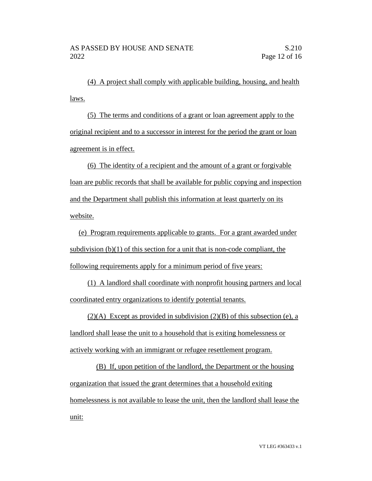(4) A project shall comply with applicable building, housing, and health laws.

(5) The terms and conditions of a grant or loan agreement apply to the original recipient and to a successor in interest for the period the grant or loan agreement is in effect.

(6) The identity of a recipient and the amount of a grant or forgivable loan are public records that shall be available for public copying and inspection and the Department shall publish this information at least quarterly on its website.

(e) Program requirements applicable to grants. For a grant awarded under subdivision  $(b)(1)$  of this section for a unit that is non-code compliant, the following requirements apply for a minimum period of five years:

(1) A landlord shall coordinate with nonprofit housing partners and local coordinated entry organizations to identify potential tenants.

 $(2)(A)$  Except as provided in subdivision  $(2)(B)$  of this subsection (e), a landlord shall lease the unit to a household that is exiting homelessness or actively working with an immigrant or refugee resettlement program.

(B) If, upon petition of the landlord, the Department or the housing organization that issued the grant determines that a household exiting homelessness is not available to lease the unit, then the landlord shall lease the unit: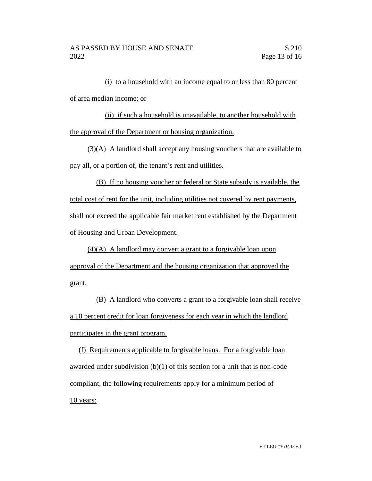(i) to a household with an income equal to or less than 80 percent of area median income; or

(ii) if such a household is unavailable, to another household with the approval of the Department or housing organization.

(3)(A) A landlord shall accept any housing vouchers that are available to pay all, or a portion of, the tenant's rent and utilities.

(B) If no housing voucher or federal or State subsidy is available, the total cost of rent for the unit, including utilities not covered by rent payments, shall not exceed the applicable fair market rent established by the Department of Housing and Urban Development.

(4)(A) A landlord may convert a grant to a forgivable loan upon approval of the Department and the housing organization that approved the grant.

(B) A landlord who converts a grant to a forgivable loan shall receive a 10 percent credit for loan forgiveness for each year in which the landlord participates in the grant program.

(f) Requirements applicable to forgivable loans. For a forgivable loan awarded under subdivision (b)(1) of this section for a unit that is non-code compliant, the following requirements apply for a minimum period of 10 years: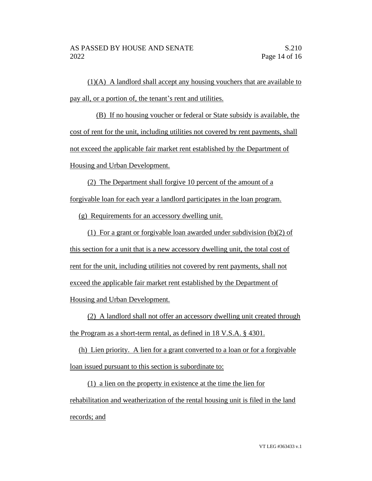(1)(A) A landlord shall accept any housing vouchers that are available to pay all, or a portion of, the tenant's rent and utilities.

(B) If no housing voucher or federal or State subsidy is available, the cost of rent for the unit, including utilities not covered by rent payments, shall not exceed the applicable fair market rent established by the Department of Housing and Urban Development.

(2) The Department shall forgive 10 percent of the amount of a forgivable loan for each year a landlord participates in the loan program.

(g) Requirements for an accessory dwelling unit.

(1) For a grant or forgivable loan awarded under subdivision (b)(2) of this section for a unit that is a new accessory dwelling unit, the total cost of rent for the unit, including utilities not covered by rent payments, shall not exceed the applicable fair market rent established by the Department of Housing and Urban Development.

(2) A landlord shall not offer an accessory dwelling unit created through the Program as a short-term rental, as defined in 18 V.S.A. § 4301.

(h) Lien priority. A lien for a grant converted to a loan or for a forgivable loan issued pursuant to this section is subordinate to:

(1) a lien on the property in existence at the time the lien for rehabilitation and weatherization of the rental housing unit is filed in the land records; and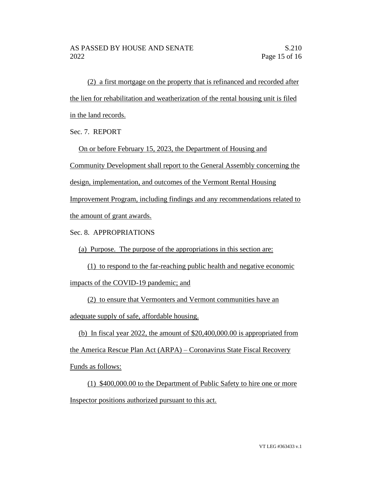(2) a first mortgage on the property that is refinanced and recorded after the lien for rehabilitation and weatherization of the rental housing unit is filed in the land records.

Sec. 7. REPORT

On or before February 15, 2023, the Department of Housing and

Community Development shall report to the General Assembly concerning the

design, implementation, and outcomes of the Vermont Rental Housing

Improvement Program, including findings and any recommendations related to the amount of grant awards.

Sec. 8. APPROPRIATIONS

(a) Purpose. The purpose of the appropriations in this section are:

(1) to respond to the far-reaching public health and negative economic impacts of the COVID-19 pandemic; and

(2) to ensure that Vermonters and Vermont communities have an

adequate supply of safe, affordable housing.

(b) In fiscal year 2022, the amount of \$20,400,000.00 is appropriated from the America Rescue Plan Act (ARPA) – Coronavirus State Fiscal Recovery

Funds as follows:

(1) \$400,000.00 to the Department of Public Safety to hire one or more Inspector positions authorized pursuant to this act.